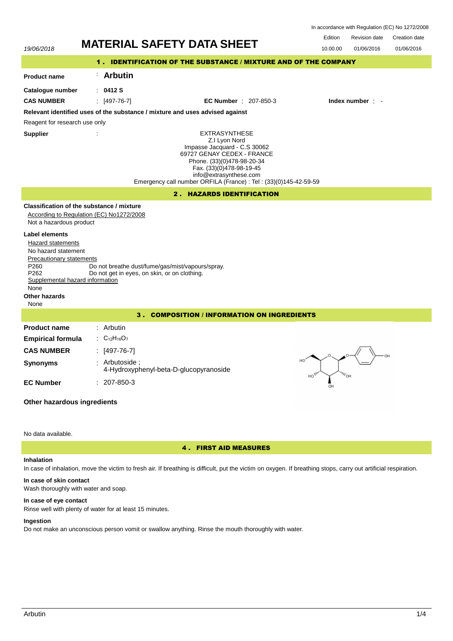| In accordance with Regulation (EC) No 1272/2008 |  |  |  |
|-------------------------------------------------|--|--|--|
|-------------------------------------------------|--|--|--|



# No data available.

# 4 . FIRST AID MEASURES

#### **Inhalation**

In case of inhalation, move the victim to fresh air. If breathing is difficult, put the victim on oxygen. If breathing stops, carry out artificial respiration.

## **In case of skin contact** Wash thoroughly with water and soap.

**In case of eye contact**

Rinse well with plenty of water for at least 15 minutes.

# **Ingestion**

Do not make an unconscious person vomit or swallow anything. Rinse the mouth thoroughly with water.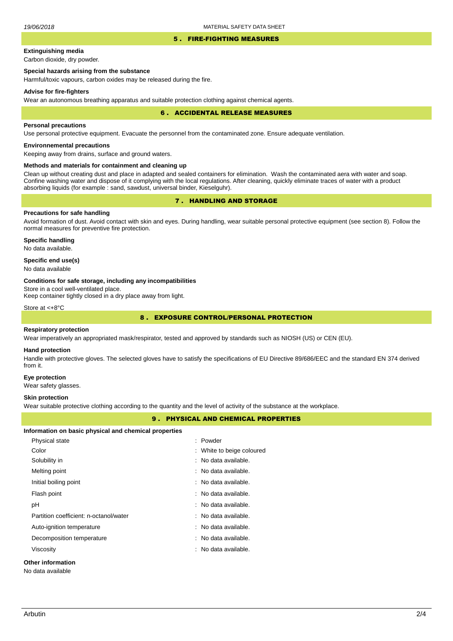#### 5 . FIRE-FIGHTING MEASURES

# **Extinguishing media**

Carbon dioxide, dry powder.

# **Special hazards arising from the substance**

Harmful/toxic vapours, carbon oxides may be released during the fire.

#### **Advise for fire-fighters**

Wear an autonomous breathing apparatus and suitable protection clothing against chemical agents.

#### 6 . ACCIDENTAL RELEASE MEASURES

#### **Personal precautions**

Use personal protective equipment. Evacuate the personnel from the contaminated zone. Ensure adequate ventilation.

## **Environnemental precautions**

Keeping away from drains, surface and ground waters.

#### **Methods and materials for containment and cleaning up**

Clean up without creating dust and place in adapted and sealed containers for elimination. Wash the contaminated aera with water and soap. Confine washing water and dispose of it complying with the local regulations. After cleaning, quickly eliminate traces of water with a product absorbing liquids (for example : sand, sawdust, universal binder, Kieselguhr).

# 7 . HANDLING AND STORAGE

## **Precautions for safe handling**

Avoid formation of dust. Avoid contact with skin and eyes. During handling, wear suitable personal protective equipment (see section 8). Follow the normal measures for preventive fire protection.

**Specific handling** No data available.

## **Specific end use(s)**

No data available

#### **Conditions for safe storage, including any incompatibilities**

Store in a cool well-ventilated place.

Keep container tightly closed in a dry place away from light.

Store at <+8°C

# 8 . EXPOSURE CONTROL/PERSONAL PROTECTION

#### **Respiratory protection**

Wear imperatively an appropriated mask/respirator, tested and approved by standards such as NIOSH (US) or CEN (EU).

#### **Hand protection**

Handle with protective gloves. The selected gloves have to satisfy the specifications of EU Directive 89/686/EEC and the standard EN 374 derived from it.

#### **Eye protection**

Wear safety glasses.

#### **Skin protection**

Wear suitable protective clothing according to the quantity and the level of activity of the substance at the workplace.

## 9 . PHYSICAL AND CHEMICAL PROPERTIES

#### **Information on basic physical and chemical properties**

| Physical state                         | : Powder                        |
|----------------------------------------|---------------------------------|
| Color                                  | : White to beige coloured       |
| Solubility in                          | : No data available.            |
| Melting point                          | : No data available.            |
| Initial boiling point                  | : No data available.            |
| Flash point                            | $\therefore$ No data available. |
| рH                                     | : No data available.            |
| Partition coefficient: n-octanol/water | : No data available.            |
| Auto-ignition temperature              | : No data available.            |
| Decomposition temperature              | No data available.              |
| Viscosity                              | : No data available.            |
| Other information                      |                                 |

No data available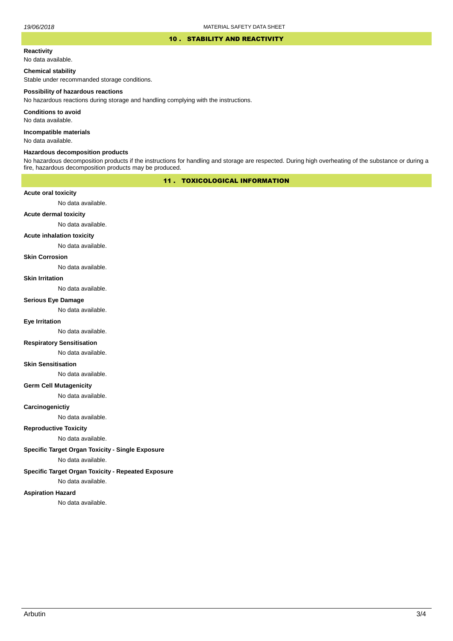## 10 . STABILITY AND REACTIVITY

## **Reactivity**

No data available.

# **Chemical stability**

Stable under recommanded storage conditions.

#### **Possibility of hazardous reactions**

No hazardous reactions during storage and handling complying with the instructions.

**Conditions to avoid**

No data available.

**Incompatible materials**

No data available.

## **Hazardous decomposition products**

No hazardous decomposition products if the instructions for handling and storage are respected. During high overheating of the substance or during a fire, hazardous decomposition products may be produced.

# 11 . TOXICOLOGICAL INFORMATION

## **Acute oral toxicity**

No data available.

# **Acute dermal toxicity**

No data available.

## **Acute inhalation toxicity**

No data available.

## **Skin Corrosion**

No data available.

#### **Skin Irritation**

No data available.

# **Serious Eye Damage**

No data available.

# **Eye Irritation**

No data available.

## **Respiratory Sensitisation**

No data available.

#### **Skin Sensitisation**

No data available.

## **Germ Cell Mutagenicity**

No data available.

## **Carcinogenictiy**

No data available.

# **Reproductive Toxicity**

No data available.

# **Specific Target Organ Toxicity - Single Exposure**

No data available.

## **Specific Target Organ Toxicity - Repeated Exposure**

No data available.

#### **Aspiration Hazard**

No data available.